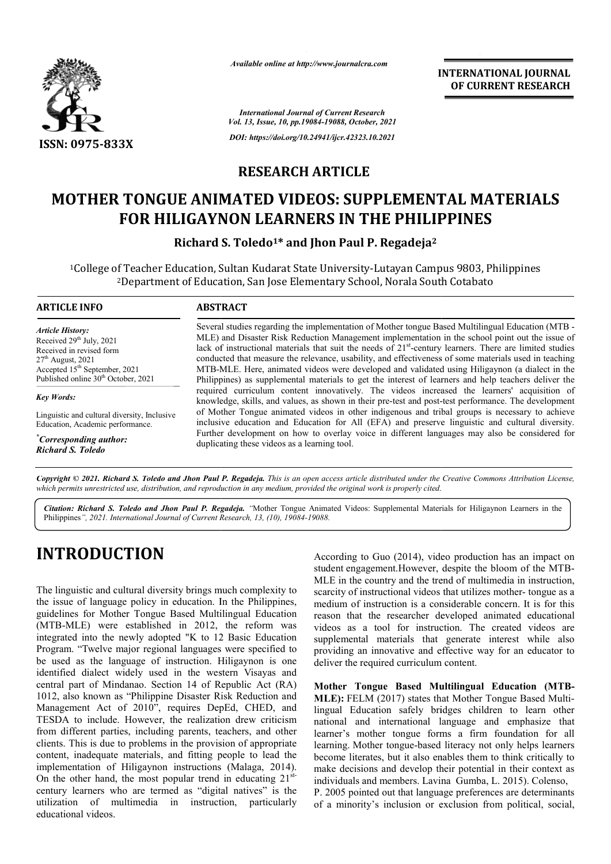

*Available online at http://www.journalcra.com*

### **RESEARCH ARTICLE**

## **MOTHER TONGUE ANIMATED VIDEOS: SUPPLEMENTAL MATERIALS**  FOR HILIGAYNON LEARNERS IN THE PHILIPPINES

|                                                                                                                                                                                                                                                                                                                                                                                                                                                                                                                                                                                                                                                                                                                                                                                                                                                                                                                                                                                                                                                       |                                                                                                                                                                                                                                                                                                                                                                                                                                                                                                                                                                                                                                                                                                                                                                                                                                                                                                                                                                                                                                                                                                                                                                                                    | лтините опине игнир.// www.journaicra.com<br><b>INTERNATIONAL JOURNAL</b><br>OF CURRENT RESEARCH                                                                                                                                                                                                                                                                                                                                                                                                                                                                                                                                                                                                                                                                                                                                                                                                                                                                                                                                                                            |  |  |  |
|-------------------------------------------------------------------------------------------------------------------------------------------------------------------------------------------------------------------------------------------------------------------------------------------------------------------------------------------------------------------------------------------------------------------------------------------------------------------------------------------------------------------------------------------------------------------------------------------------------------------------------------------------------------------------------------------------------------------------------------------------------------------------------------------------------------------------------------------------------------------------------------------------------------------------------------------------------------------------------------------------------------------------------------------------------|----------------------------------------------------------------------------------------------------------------------------------------------------------------------------------------------------------------------------------------------------------------------------------------------------------------------------------------------------------------------------------------------------------------------------------------------------------------------------------------------------------------------------------------------------------------------------------------------------------------------------------------------------------------------------------------------------------------------------------------------------------------------------------------------------------------------------------------------------------------------------------------------------------------------------------------------------------------------------------------------------------------------------------------------------------------------------------------------------------------------------------------------------------------------------------------------------|-----------------------------------------------------------------------------------------------------------------------------------------------------------------------------------------------------------------------------------------------------------------------------------------------------------------------------------------------------------------------------------------------------------------------------------------------------------------------------------------------------------------------------------------------------------------------------------------------------------------------------------------------------------------------------------------------------------------------------------------------------------------------------------------------------------------------------------------------------------------------------------------------------------------------------------------------------------------------------------------------------------------------------------------------------------------------------|--|--|--|
|                                                                                                                                                                                                                                                                                                                                                                                                                                                                                                                                                                                                                                                                                                                                                                                                                                                                                                                                                                                                                                                       |                                                                                                                                                                                                                                                                                                                                                                                                                                                                                                                                                                                                                                                                                                                                                                                                                                                                                                                                                                                                                                                                                                                                                                                                    | <b>International Journal of Current Research</b><br>Vol. 13, Issue, 10, pp.19084-19088, October, 2021                                                                                                                                                                                                                                                                                                                                                                                                                                                                                                                                                                                                                                                                                                                                                                                                                                                                                                                                                                       |  |  |  |
| <b>ISSN: 0975-833X</b>                                                                                                                                                                                                                                                                                                                                                                                                                                                                                                                                                                                                                                                                                                                                                                                                                                                                                                                                                                                                                                | DOI: https://doi.org/10.24941/ijcr.42323.10.2021                                                                                                                                                                                                                                                                                                                                                                                                                                                                                                                                                                                                                                                                                                                                                                                                                                                                                                                                                                                                                                                                                                                                                   |                                                                                                                                                                                                                                                                                                                                                                                                                                                                                                                                                                                                                                                                                                                                                                                                                                                                                                                                                                                                                                                                             |  |  |  |
|                                                                                                                                                                                                                                                                                                                                                                                                                                                                                                                                                                                                                                                                                                                                                                                                                                                                                                                                                                                                                                                       | <b>RESEARCH ARTICLE</b>                                                                                                                                                                                                                                                                                                                                                                                                                                                                                                                                                                                                                                                                                                                                                                                                                                                                                                                                                                                                                                                                                                                                                                            |                                                                                                                                                                                                                                                                                                                                                                                                                                                                                                                                                                                                                                                                                                                                                                                                                                                                                                                                                                                                                                                                             |  |  |  |
|                                                                                                                                                                                                                                                                                                                                                                                                                                                                                                                                                                                                                                                                                                                                                                                                                                                                                                                                                                                                                                                       |                                                                                                                                                                                                                                                                                                                                                                                                                                                                                                                                                                                                                                                                                                                                                                                                                                                                                                                                                                                                                                                                                                                                                                                                    | <b>MOTHER TONGUE ANIMATED VIDEOS: SUPPLEMENTAL MATERIALS</b><br><b>FOR HILIGAYNON LEARNERS IN THE PHILIPPINES</b>                                                                                                                                                                                                                                                                                                                                                                                                                                                                                                                                                                                                                                                                                                                                                                                                                                                                                                                                                           |  |  |  |
|                                                                                                                                                                                                                                                                                                                                                                                                                                                                                                                                                                                                                                                                                                                                                                                                                                                                                                                                                                                                                                                       |                                                                                                                                                                                                                                                                                                                                                                                                                                                                                                                                                                                                                                                                                                                                                                                                                                                                                                                                                                                                                                                                                                                                                                                                    | Richard S. Toledo <sup>1*</sup> and Jhon Paul P. Regadeja <sup>2</sup><br><sup>1</sup> College of Teacher Education, Sultan Kudarat State University-Lutayan Campus 9803, Philippines<br><sup>2</sup> Department of Education, San Jose Elementary School, Norala South Cotabato                                                                                                                                                                                                                                                                                                                                                                                                                                                                                                                                                                                                                                                                                                                                                                                            |  |  |  |
| <b>ARTICLE INFO</b>                                                                                                                                                                                                                                                                                                                                                                                                                                                                                                                                                                                                                                                                                                                                                                                                                                                                                                                                                                                                                                   | <b>ABSTRACT</b>                                                                                                                                                                                                                                                                                                                                                                                                                                                                                                                                                                                                                                                                                                                                                                                                                                                                                                                                                                                                                                                                                                                                                                                    |                                                                                                                                                                                                                                                                                                                                                                                                                                                                                                                                                                                                                                                                                                                                                                                                                                                                                                                                                                                                                                                                             |  |  |  |
| <b>Article History:</b><br>Received 29 <sup>th</sup> July, 2021<br>Received in revised form<br>27 <sup>th</sup> August, 2021<br>Accepted 15 <sup>th</sup> September, 2021<br>Published online 30 <sup>th</sup> October, 2021                                                                                                                                                                                                                                                                                                                                                                                                                                                                                                                                                                                                                                                                                                                                                                                                                          | Several studies regarding the implementation of Mother tongue Based Multilingual Education (MTB -<br>MLE) and Disaster Risk Reduction Management implementation in the school point out the issue of<br>lack of instructional materials that suit the needs of $21st$ -century learners. There are limited studies<br>conducted that measure the relevance, usability, and effectiveness of some materials used in teaching<br>MTB-MLE. Here, animated videos were developed and validated using Hiligaynon (a dialect in the<br>Philippines) as supplemental materials to get the interest of learners and help teachers deliver the<br>required curriculum content innovatively. The videos increased the learners' acquisition of<br>knowledge, skills, and values, as shown in their pre-test and post-test performance. The development<br>of Mother Tongue animated videos in other indigenous and tribal groups is necessary to achieve<br>inclusive education and Education for All (EFA) and preserve linguistic and cultural diversity.<br>Further development on how to overlay voice in different languages may also be considered for<br>duplicating these videos as a learning tool. |                                                                                                                                                                                                                                                                                                                                                                                                                                                                                                                                                                                                                                                                                                                                                                                                                                                                                                                                                                                                                                                                             |  |  |  |
| <b>Key Words:</b><br>Linguistic and cultural diversity, Inclusive<br>Education, Academic performance.<br>"Corresponding author:<br><b>Richard S. Toledo</b>                                                                                                                                                                                                                                                                                                                                                                                                                                                                                                                                                                                                                                                                                                                                                                                                                                                                                           |                                                                                                                                                                                                                                                                                                                                                                                                                                                                                                                                                                                                                                                                                                                                                                                                                                                                                                                                                                                                                                                                                                                                                                                                    |                                                                                                                                                                                                                                                                                                                                                                                                                                                                                                                                                                                                                                                                                                                                                                                                                                                                                                                                                                                                                                                                             |  |  |  |
| which permits unrestricted use, distribution, and reproduction in any medium, provided the original work is properly cited.                                                                                                                                                                                                                                                                                                                                                                                                                                                                                                                                                                                                                                                                                                                                                                                                                                                                                                                           |                                                                                                                                                                                                                                                                                                                                                                                                                                                                                                                                                                                                                                                                                                                                                                                                                                                                                                                                                                                                                                                                                                                                                                                                    | Copyright © 2021. Richard S. Toledo and Jhon Paul P. Regadeja. This is an open access article distributed under the Creative Commons Attribution License,                                                                                                                                                                                                                                                                                                                                                                                                                                                                                                                                                                                                                                                                                                                                                                                                                                                                                                                   |  |  |  |
| Philippines", 2021. International Journal of Current Research, 13, (10), 19084-19088.                                                                                                                                                                                                                                                                                                                                                                                                                                                                                                                                                                                                                                                                                                                                                                                                                                                                                                                                                                 |                                                                                                                                                                                                                                                                                                                                                                                                                                                                                                                                                                                                                                                                                                                                                                                                                                                                                                                                                                                                                                                                                                                                                                                                    | Citation: Richard S. Toledo and Jhon Paul P. Regadeja. "Mother Tongue Animated Videos: Supplemental Materials for Hiligaynon Learners in the                                                                                                                                                                                                                                                                                                                                                                                                                                                                                                                                                                                                                                                                                                                                                                                                                                                                                                                                |  |  |  |
| <b>INTRODUCTION</b><br>The linguistic and cultural diversity brings much complexity to<br>the issue of language policy in education. In the Philippines,<br>guidelines for Mother Tongue Based Multilingual Education<br>(MTB-MLE) were established in 2012, the reform was<br>integrated into the newly adopted "K to 12 Basic Education<br>Program. "Twelve major regional languages were specified to<br>be used as the language of instruction. Hiligaynon is one<br>identified dialect widely used in the western Visayas and<br>central part of Mindanao. Section 14 of Republic Act (RA)<br>1012, also known as "Philippine Disaster Risk Reduction and<br>Management Act of 2010", requires DepEd, CHED, and<br>TESDA to include. However, the realization drew criticism<br>from different parties, including parents, teachers, and other<br>clients. This is due to problems in the provision of appropriate<br>content, inadequate materials, and fitting people to lead the<br>implementation of Hiligaynon instructions (Malaga, 2014). |                                                                                                                                                                                                                                                                                                                                                                                                                                                                                                                                                                                                                                                                                                                                                                                                                                                                                                                                                                                                                                                                                                                                                                                                    | According to Guo (2014), video production has an impact on<br>student engagement. However, despite the bloom of the MTB-<br>MLE in the country and the trend of multimedia in instruction,<br>scarcity of instructional videos that utilizes mother-tongue as a<br>medium of instruction is a considerable concern. It is for this<br>reason that the researcher developed animated educational<br>videos as a tool for instruction. The created videos are<br>supplemental materials that generate interest while also<br>providing an innovative and effective way for an educator to<br>deliver the required curriculum content.<br>Mother Tongue Based Multilingual Education (MTB-<br>MLE): FELM (2017) states that Mother Tongue Based Multi-<br>lingual Education safely bridges children to learn other<br>national and international language and emphasize that<br>learner's mother tongue forms a firm foundation for all<br>learning. Mother tongue-based literacy not only helps learners<br>become literates, but it also enables them to think critically to |  |  |  |
| On the other hand, the most popular trend in educating $21^{st}$<br>century learners who are termed as "digital natives" is the<br>utilization of multimedia in instruction, particularly                                                                                                                                                                                                                                                                                                                                                                                                                                                                                                                                                                                                                                                                                                                                                                                                                                                             |                                                                                                                                                                                                                                                                                                                                                                                                                                                                                                                                                                                                                                                                                                                                                                                                                                                                                                                                                                                                                                                                                                                                                                                                    | make decisions and develop their potential in their context as<br>individuals and members. Lavina Gumba, L. 2015). Colenso,<br>P. 2005 pointed out that language preferences are determinants<br>of a minority's inclusion or exclusion from political, social,                                                                                                                                                                                                                                                                                                                                                                                                                                                                                                                                                                                                                                                                                                                                                                                                             |  |  |  |

# **INTRODUCTION**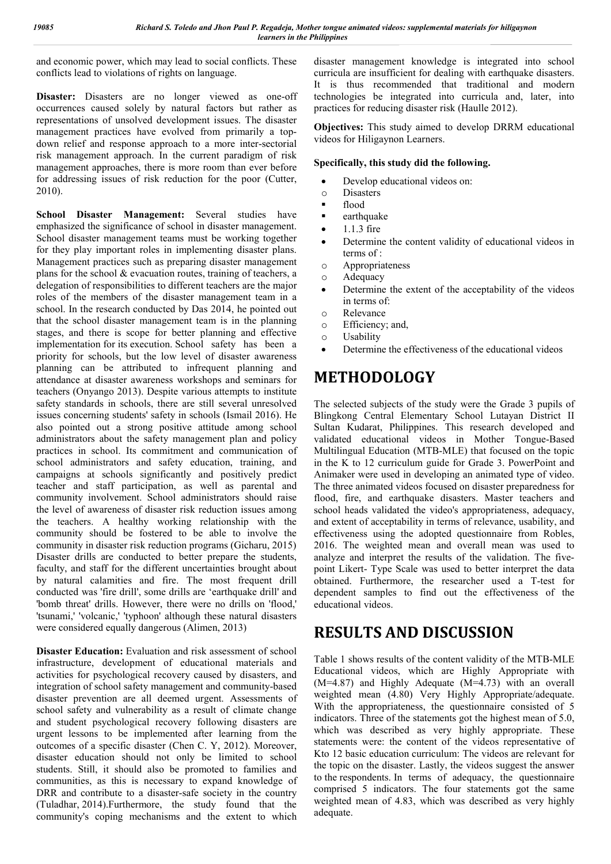and economic power, which may lead to social conflicts. These conflicts lead to violations of rights on language.

**Disaster:** Disasters are no longer viewed as one-off occurrences caused solely by natural factors but rather as representations of unsolved development issues. The disaster management practices have evolved from primarily a topdown relief and response approach to a more inter-sectorial risk management approach. In the current paradigm of risk management approaches, there is more room than ever before for addressing issues of risk reduction for the poor (Cutter, 2010).

**School Disaster Management:** Several studies have emphasized the significance of school in disaster management. School disaster management teams must be working together for they play important roles in implementing disaster plans. Management practices such as preparing disaster management plans for the school & evacuation routes, training of teachers, a delegation of responsibilities to different teachers are the major roles of the members of the disaster management team in a school. In the research conducted by Das 2014, he pointed out that the school disaster management team is in the planning stages, and there is scope for better planning and effective implementation for its execution. School safety has been a priority for schools, but the low level of disaster awareness planning can be attributed to infrequent planning and attendance at disaster awareness workshops and seminars for teachers (Onyango 2013). Despite various attempts to institute safety standards in schools, there are still several unresolved issues concerning students' safety in schools (Ismail 2016). He also pointed out a strong positive attitude among school administrators about the safety management plan and policy practices in school. Its commitment and communication of school administrators and safety education, training, and campaigns at schools significantly and positively predict teacher and staff participation, as well as parental and community involvement. School administrators should raise the level of awareness of disaster risk reduction issues among the teachers. A healthy working relationship with the community should be fostered to be able to involve the community in disaster risk reduction programs (Gicharu, 2015) Disaster drills are conducted to better prepare the students, faculty, and staff for the different uncertainties brought about by natural calamities and fire. The most frequent drill conducted was 'fire drill', some drills are 'earthquake drill' and 'bomb threat' drills. However, there were no drills on 'flood,' 'tsunami,' 'volcanic,' 'typhoon' although these natural disasters were considered equally dangerous (Alimen, 2013)

**Disaster Education:** Evaluation and risk assessment of school infrastructure, development of educational materials and activities for psychological recovery caused by disasters, and integration of school safety management and community-based disaster prevention are all deemed urgent. Assessments of school safety and vulnerability as a result of climate change and student psychological recovery following disasters are urgent lessons to be implemented after learning from the outcomes of a specific disaster (Chen C. Y, 2012). Moreover, disaster education should not only be limited to school students. Still, it should also be promoted to families and communities, as this is necessary to expand knowledge of DRR and contribute to a disaster-safe society in the country (Tuladhar, 2014).Furthermore, the study found that the community's coping mechanisms and the extent to which disaster management knowledge is integrated into school curricula are insufficient for dealing with earthquake disasters. It is thus recommended that traditional and modern technologies be integrated into curricula and, later, into practices for reducing disaster risk (Haulle 2012).

**Objectives:** This study aimed to develop DRRM educational videos for Hiligaynon Learners.

#### **Specifically, this study did the following.**

- Develop educational videos on:
- o Disasters
- flood
- earthquake
- $\bullet$  1.1.3 fire
- Determine the content validity of educational videos in terms of :
- o Appropriateness
- o Adequacy
- Determine the extent of the acceptability of the videos in terms of:
- o Relevance
- o Efficiency; and,
- o Usability
- Determine the effectiveness of the educational videos

## **METHODOLOGY**

The selected subjects of the study were the Grade 3 pupils of Blingkong Central Elementary School Lutayan District II Sultan Kudarat, Philippines. This research developed and validated educational videos in Mother Tongue-Based Multilingual Education (MTB-MLE) that focused on the topic in the K to 12 curriculum guide for Grade 3. PowerPoint and Animaker were used in developing an animated type of video. The three animated videos focused on disaster preparedness for flood, fire, and earthquake disasters. Master teachers and school heads validated the video's appropriateness, adequacy, and extent of acceptability in terms of relevance, usability, and effectiveness using the adopted questionnaire from Robles, 2016. The weighted mean and overall mean was used to analyze and interpret the results of the validation. The fivepoint Likert- Type Scale was used to better interpret the data obtained. Furthermore, the researcher used a T-test for dependent samples to find out the effectiveness of the educational videos.

### **RESULTS AND DISCUSSION**

Table 1 shows results of the content validity of the MTB-MLE Educational videos, which are Highly Appropriate with (M=4.87) and Highly Adequate (M=4.73) with an overall weighted mean (4.80) Very Highly Appropriate/adequate. With the appropriateness, the questionnaire consisted of 5 indicators. Three of the statements got the highest mean of 5.0, which was described as very highly appropriate. These statements were: the content of the videos representative of Kto 12 basic education curriculum: The videos are relevant for the topic on the disaster. Lastly, the videos suggest the answer to the respondents. In terms of adequacy, the questionnaire comprised 5 indicators. The four statements got the same weighted mean of 4.83, which was described as very highly adequate.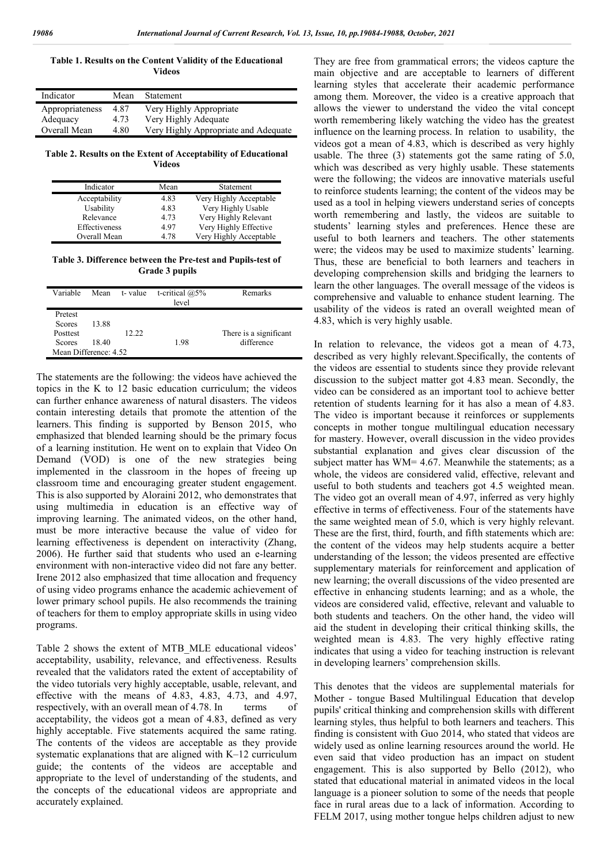**Table 1. Results on the Content Validity of the Educational Videos**

| Indicator       | Mean | <b>Statement</b>                     |
|-----------------|------|--------------------------------------|
| Appropriateness | 4.87 | Very Highly Appropriate              |
| Adequacy        | 4.73 | Very Highly Adequate                 |
| Overall Mean    | 4.80 | Very Highly Appropriate and Adequate |

**Table 2. Results on the Extent of Acceptability of Educational Videos**

| Indicator     | Mean | Statement              |
|---------------|------|------------------------|
| Acceptability | 4.83 | Very Highly Acceptable |
| Usability     | 4.83 | Very Highly Usable     |
| Relevance     | 4.73 | Very Highly Relevant   |
| Effectiveness | 4.97 | Very Highly Effective  |
| Overall Mean  | 4.78 | Very Highly Acceptable |

**Table 3. Difference between the Pre-test and Pupils-test of Grade 3 pupils**

| Variable                                                                       |                |       | Mean t-value t-critical $@5\%$<br>level | Remarks                              |
|--------------------------------------------------------------------------------|----------------|-------|-----------------------------------------|--------------------------------------|
| Pretest<br><b>Scores</b><br>Posttest<br><b>Scores</b><br>Mean Difference: 4.52 | 13.88<br>18.40 | 12.22 | 1.98                                    | There is a significant<br>difference |

The statements are the following: the videos have achieved the topics in the K to 12 basic education curriculum; the videos can further enhance awareness of natural disasters. The videos contain interesting details that promote the attention of the learners. This finding is supported by Benson 2015, who emphasized that blended learning should be the primary focus of a learning institution. He went on to explain that Video On Demand (VOD) is one of the new strategies being implemented in the classroom in the hopes of freeing up classroom time and encouraging greater student engagement. This is also supported by Aloraini 2012, who demonstrates that using multimedia in education is an effective way of improving learning. The animated videos, on the other hand, must be more interactive because the value of video for learning effectiveness is dependent on interactivity (Zhang, 2006). He further said that students who used an e-learning environment with non-interactive video did not fare any better. Irene 2012 also emphasized that time allocation and frequency of using video programs enhance the academic achievement of lower primary school pupils. He also recommends the training of teachers for them to employ appropriate skills in using video programs.

Table 2 shows the extent of MTB\_MLE educational videos' acceptability, usability, relevance, and effectiveness. Results revealed that the validators rated the extent of acceptability of the video tutorials very highly acceptable, usable, relevant, and effective with the means of 4.83, 4.83, 4.73, and 4.97, respectively, with an overall mean of 4.78. In terms of acceptability, the videos got a mean of 4.83, defined as very highly acceptable. Five statements acquired the same rating. The contents of the videos are acceptable as they provide systematic explanations that are aligned with K–12 curriculum guide; the contents of the videos are acceptable and appropriate to the level of understanding of the students, and the concepts of the educational videos are appropriate and accurately explained.

They are free from grammatical errors; the videos capture the main objective and are acceptable to learners of different learning styles that accelerate their academic performance among them. Moreover, the video is a creative approach that allows the viewer to understand the video the vital concept worth remembering likely watching the video has the greatest influence on the learning process. In relation to usability, the videos got a mean of 4.83, which is described as very highly usable. The three (3) statements got the same rating of 5.0, which was described as very highly usable. These statements were the following; the videos are innovative materials useful to reinforce students learning; the content of the videos may be used as a tool in helping viewers understand series of concepts worth remembering and lastly, the videos are suitable to students' learning styles and preferences. Hence these are useful to both learners and teachers. The other statements were; the videos may be used to maximize students' learning. Thus, these are beneficial to both learners and teachers in developing comprehension skills and bridging the learners to learn the other languages. The overall message of the videos is comprehensive and valuable to enhance student learning. The usability of the videos is rated an overall weighted mean of 4.83, which is very highly usable.

In relation to relevance, the videos got a mean of 4.73, described as very highly relevant.Specifically, the contents of the videos are essential to students since they provide relevant discussion to the subject matter got 4.83 mean. Secondly, the video can be considered as an important tool to achieve better retention of students learning for it has also a mean of 4.83. The video is important because it reinforces or supplements concepts in mother tongue multilingual education necessary for mastery. However, overall discussion in the video provides substantial explanation and gives clear discussion of the subject matter has WM= 4.67. Meanwhile the statements; as a whole, the videos are considered valid, effective, relevant and useful to both students and teachers got 4.5 weighted mean. The video got an overall mean of 4.97, inferred as very highly effective in terms of effectiveness. Four of the statements have the same weighted mean of 5.0, which is very highly relevant. These are the first, third, fourth, and fifth statements which are: the content of the videos may help students acquire a better understanding of the lesson; the videos presented are effective supplementary materials for reinforcement and application of new learning; the overall discussions of the video presented are effective in enhancing students learning; and as a whole, the videos are considered valid, effective, relevant and valuable to both students and teachers. On the other hand, the video will aid the student in developing their critical thinking skills, the weighted mean is 4.83. The very highly effective rating indicates that using a video for teaching instruction is relevant in developing learners' comprehension skills.

This denotes that the videos are supplemental materials for Mother - tongue Based Multilingual Education that develop pupils' critical thinking and comprehension skills with different learning styles, thus helpful to both learners and teachers. This finding is consistent with Guo 2014, who stated that videos are widely used as online learning resources around the world. He even said that video production has an impact on student engagement. This is also supported by Bello (2012), who stated that educational material in animated videos in the local language is a pioneer solution to some of the needs that people face in rural areas due to a lack of information. According to FELM 2017, using mother tongue helps children adjust to new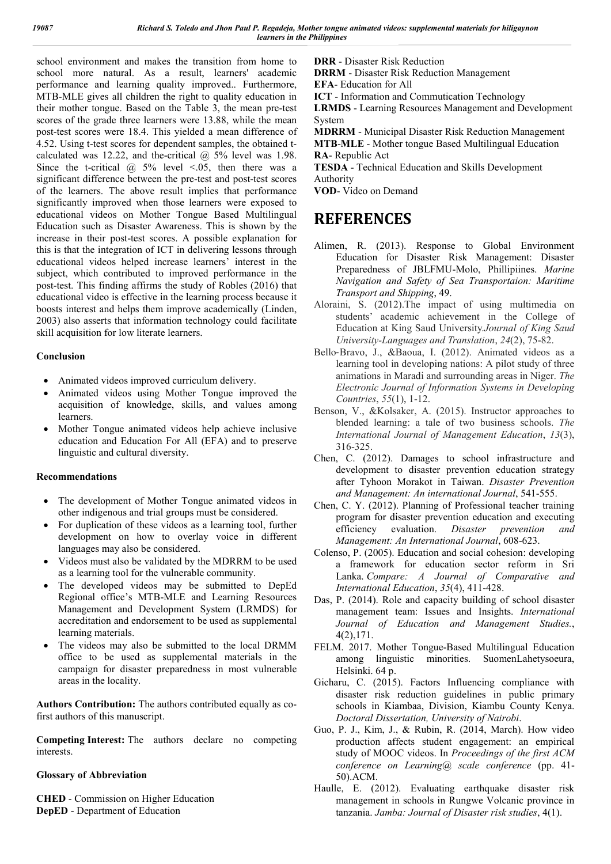school environment and makes the transition from home to school more natural. As a result, learners' academic performance and learning quality improved.. Furthermore, MTB-MLE gives all children the right to quality education in their mother tongue. Based on the Table 3, the mean pre-test scores of the grade three learners were 13.88, while the mean post-test scores were 18.4. This yielded a mean difference of 4.52. Using t-test scores for dependent samples, the obtained tcalculated was 12.22, and the-critical  $(a)$  5% level was 1.98. Since the t-critical  $\omega$  5% level <.05, then there was a significant difference between the pre-test and post-test scores of the learners. The above result implies that performance significantly improved when those learners were exposed to educational videos on Mother Tongue Based Multilingual Education such as Disaster Awareness. This is shown by the increase in their post-test scores. A possible explanation for this is that the integration of ICT in delivering lessons through educational videos helped increase learners' interest in the subject, which contributed to improved performance in the post-test. This finding affirms the study of Robles (2016) that educational video is effective in the learning process because it boosts interest and helps them improve academically (Linden, 2003) also asserts that information technology could facilitate skill acquisition for low literate learners.

#### **Conclusion**

- Animated videos improved curriculum delivery.
- Animated videos using Mother Tongue improved the acquisition of knowledge, skills, and values among learners.
- Mother Tongue animated videos help achieve inclusive education and Education For All (EFA) and to preserve linguistic and cultural diversity.

#### **Recommendations**

- The development of Mother Tongue animated videos in other indigenous and trial groups must be considered.
- For duplication of these videos as a learning tool, further development on how to overlay voice in different languages may also be considered.
- Videos must also be validated by the MDRRM to be used as a learning tool for the vulnerable community.
- The developed videos may be submitted to DepEd Regional office's MTB-MLE and Learning Resources Management and Development System (LRMDS) for accreditation and endorsement to be used as supplemental learning materials.
- The videos may also be submitted to the local DRMM office to be used as supplemental materials in the campaign for disaster preparedness in most vulnerable areas in the locality.

**Authors Contribution:** The authors contributed equally as cofirst authors of this manuscript.

**Competing Interest:** The authors declare no competing interests.

#### **Glossary of Abbreviation**

**CHED** - Commission on Higher Education **DepED** - Department of Education

**DRR** - Disaster Risk Reduction

**DRRM** - Disaster Risk Reduction Management

**EFA**- Education for All

**ICT** - Information and Commutication Technology

**LRMDS** - Learning Resources Management and Development System

**MDRRM** - Municipal Disaster Risk Reduction Management **MTB**-**MLE** - Mother tongue Based Multilingual Education **RA**- Republic Act

**TESDA** - Technical Education and Skills Development Authority

**VOD**- Video on Demand

### **REFERENCES**

- Alimen, R. (2013). Response to Global Environment Education for Disaster Risk Management: Disaster Preparedness of JBLFMU-Molo, Phillipiines. *Marine Navigation and Safety of Sea Transportaion: Maritime Transport and Shipping*, 49.
- Aloraini, S. (2012).The impact of using multimedia on students' academic achievement in the College of Education at King Saud University.*Journal of King Saud University-Languages and Translation*, *24*(2), 75-82.
- Bello‐Bravo, J., &Baoua, I. (2012). Animated videos as a learning tool in developing nations: A pilot study of three animations in Maradi and surrounding areas in Niger. *The Electronic Journal of Information Systems in Developing Countries*, *55*(1), 1-12.
- Benson, V., &Kolsaker, A. (2015). Instructor approaches to blended learning: a tale of two business schools. *The International Journal of Management Education*, *13*(3), 316-325.
- Chen, C. (2012). Damages to school infrastructure and development to disaster prevention education strategy after Tyhoon Morakot in Taiwan. *Disaster Prevention and Management: An international Journal*, 541-555.
- Chen, C. Y. (2012). Planning of Professional teacher training program for disaster prevention education and executing efficiency evaluation. *Disaster prevention and Management: An International Journal*, 608-623.
- Colenso, P. (2005). Education and social cohesion: developing a framework for education sector reform in Sri Lanka. *Compare: A Journal of Comparative and International Education*, *35*(4), 411-428.
- Das, P. (2014). Role and capacity building of school disaster management team: Issues and Insights. *International Journal of Education and Management Studies.*, 4(2),171.
- FELM. 2017. Mother Tongue-Based Multilingual Education among linguistic minorities. SuomenLahetysoeura, Helsinki. 64 p.
- Gicharu, C. (2015). Factors Influencing compliance with disaster risk reduction guidelines in public primary schools in Kiambaa, Division, Kiambu County Kenya. *Doctoral Dissertation, University of Nairobi*.
- Guo, P. J., Kim, J., & Rubin, R. (2014, March). How video production affects student engagement: an empirical study of MOOC videos. In *Proceedings of the first ACM conference on Learning@ scale conference* (pp. 41- 50).ACM.
- Haulle, E. (2012). Evaluating earthquake disaster risk management in schools in Rungwe Volcanic province in tanzania. *Jamba: Journal of Disaster risk studies*, 4(1).